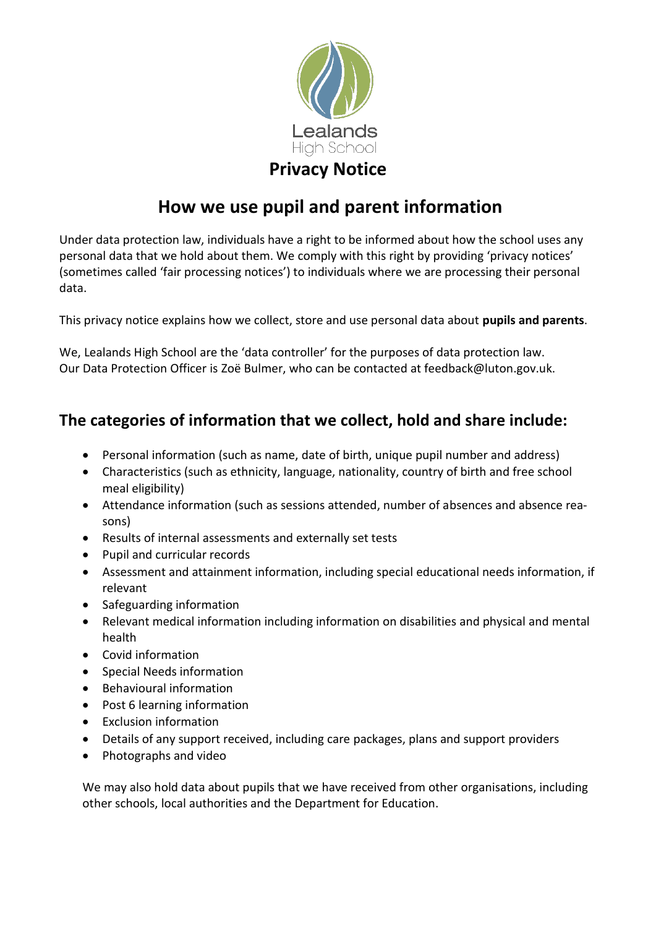

# **How we use pupil and parent information**

Under data protection law, individuals have a right to be informed about how the school uses any personal data that we hold about them. We comply with this right by providing 'privacy notices' (sometimes called 'fair processing notices') to individuals where we are processing their personal data.

This privacy notice explains how we collect, store and use personal data about **pupils and parents**.

We, Lealands High School are the 'data controller' for the purposes of data protection law. Our Data Protection Officer is Zoë Bulmer, who can be contacted at feedback@luton.gov.uk.

# **The categories of information that we collect, hold and share include:**

- Personal information (such as name, date of birth, unique pupil number and address)
- Characteristics (such as ethnicity, language, nationality, country of birth and free school meal eligibility)
- Attendance information (such as sessions attended, number of absences and absence reasons)
- Results of internal assessments and externally set tests
- Pupil and curricular records
- Assessment and attainment information, including special educational needs information, if relevant
- Safeguarding information
- Relevant medical information including information on disabilities and physical and mental health
- Covid information
- Special Needs information
- Behavioural information
- Post 6 learning information
- Exclusion information
- Details of any support received, including care packages, plans and support providers
- Photographs and video

We may also hold data about pupils that we have received from other organisations, including other schools, local authorities and the Department for Education.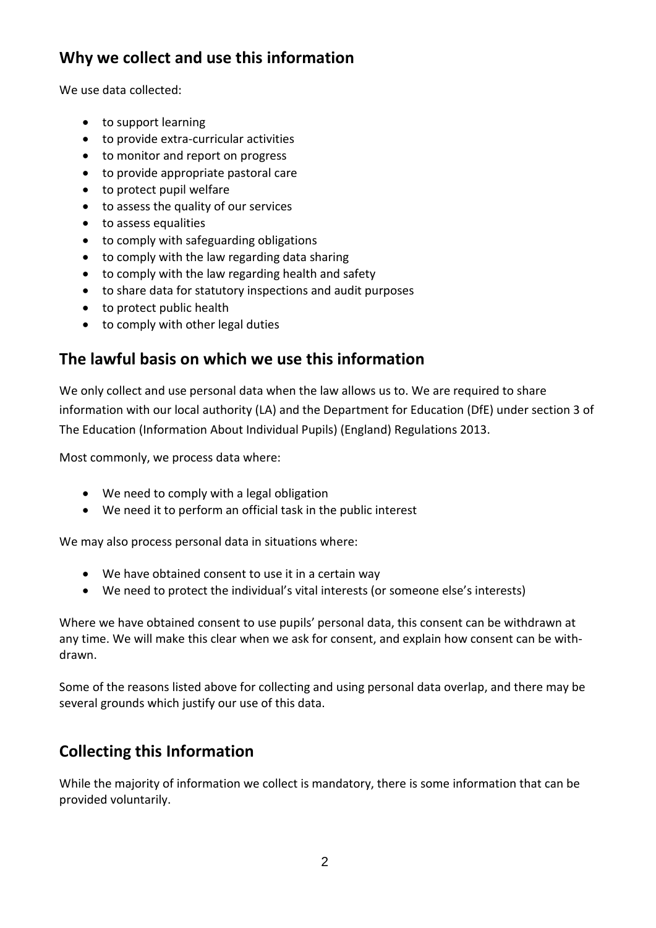# **Why we collect and use this information**

We use data collected:

- to support learning
- to provide extra-curricular activities
- to monitor and report on progress
- to provide appropriate pastoral care
- to protect pupil welfare
- to assess the quality of our services
- to assess equalities
- to comply with safeguarding obligations
- to comply with the law regarding data sharing
- to comply with the law regarding health and safety
- to share data for statutory inspections and audit purposes
- to protect public health
- to comply with other legal duties

#### **The lawful basis on which we use this information**

We only collect and use personal data when the law allows us to. We are required to share information with our local authority (LA) and the Department for Education (DfE) under section 3 of The Education (Information About Individual Pupils) (England) Regulations 2013.

Most commonly, we process data where:

- We need to comply with a legal obligation
- We need it to perform an official task in the public interest

We may also process personal data in situations where:

- We have obtained consent to use it in a certain way
- We need to protect the individual's vital interests (or someone else's interests)

Where we have obtained consent to use pupils' personal data, this consent can be withdrawn at any time. We will make this clear when we ask for consent, and explain how consent can be withdrawn.

Some of the reasons listed above for collecting and using personal data overlap, and there may be several grounds which justify our use of this data.

# **Collecting this Information**

While the majority of information we collect is mandatory, there is some information that can be provided voluntarily.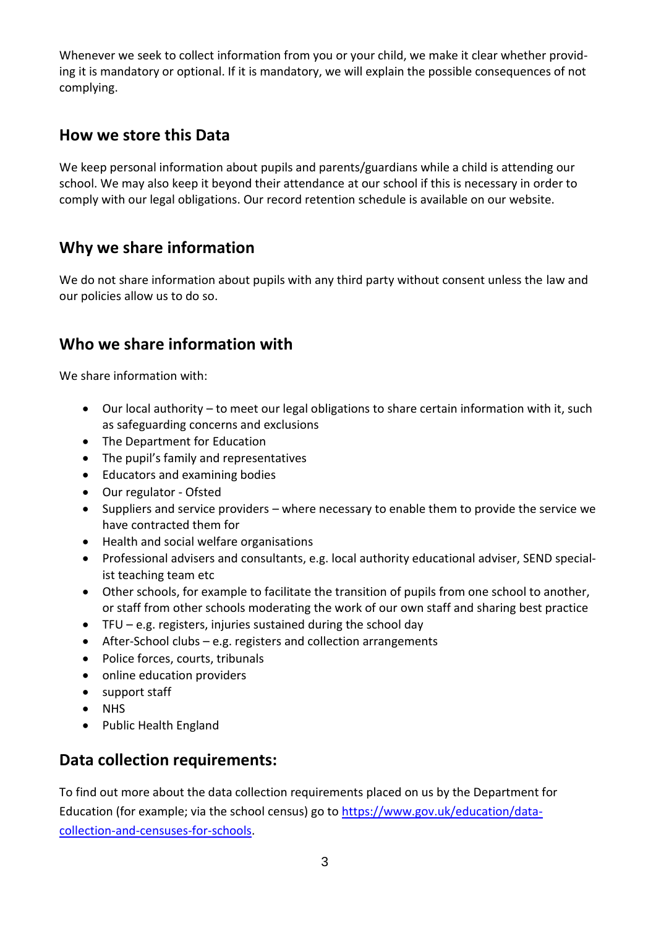Whenever we seek to collect information from you or your child, we make it clear whether providing it is mandatory or optional. If it is mandatory, we will explain the possible consequences of not complying.

#### **How we store this Data**

We keep personal information about pupils and parents/guardians while a child is attending our school. We may also keep it beyond their attendance at our school if this is necessary in order to comply with our legal obligations. Our record retention schedule is available on our website.

### **Why we share information**

We do not share information about pupils with any third party without consent unless the law and our policies allow us to do so.

# **Who we share information with**

We share information with:

- Our local authority to meet our legal obligations to share certain information with it, such as safeguarding concerns and exclusions
- The Department for Education
- The pupil's family and representatives
- Educators and examining bodies
- Our regulator Ofsted
- Suppliers and service providers where necessary to enable them to provide the service we have contracted them for
- Health and social welfare organisations
- Professional advisers and consultants, e.g. local authority educational adviser, SEND specialist teaching team etc
- Other schools, for example to facilitate the transition of pupils from one school to another, or staff from other schools moderating the work of our own staff and sharing best practice
- $\bullet$  TFU e.g. registers, injuries sustained during the school day
- After-School clubs e.g. registers and collection arrangements
- Police forces, courts, tribunals
- online education providers
- support staff
- NHS
- Public Health England

### **Data collection requirements:**

To find out more about the data collection requirements placed on us by the Department for Education (for example; via the school census) go to [https://www.gov.uk/education/data](https://www.gov.uk/education/data-collection-and-censuses-for-schools)[collection-and-censuses-for-schools.](https://www.gov.uk/education/data-collection-and-censuses-for-schools)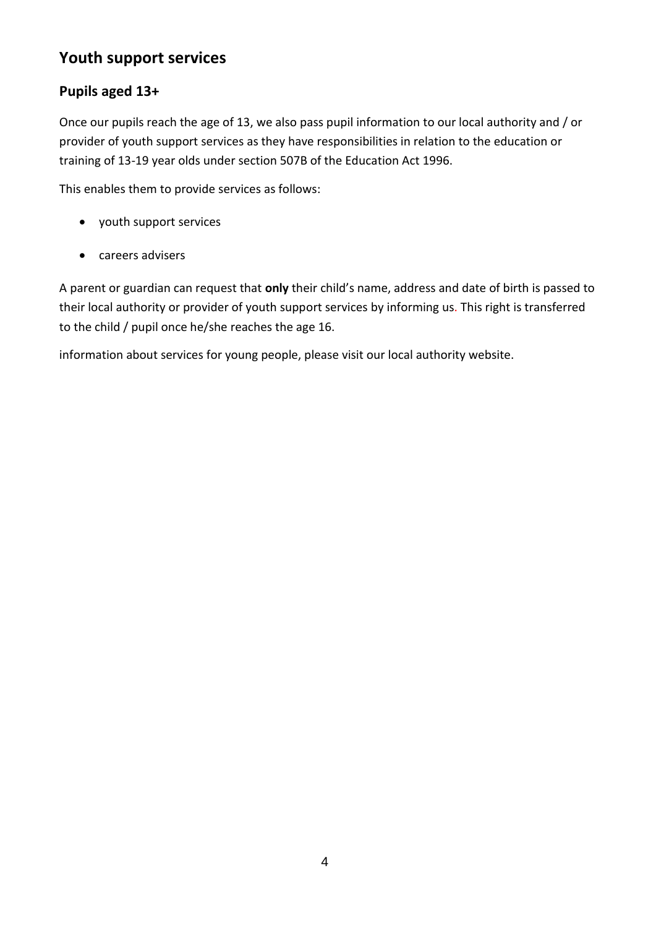# **Youth support services**

#### **Pupils aged 13+**

Once our pupils reach the age of 13, we also pass pupil information to our local authority and / or provider of youth support services as they have responsibilities in relation to the education or training of 13-19 year olds under section 507B of the Education Act 1996.

This enables them to provide services as follows:

- youth support services
- careers advisers

A parent or guardian can request that **only** their child's name, address and date of birth is passed to their local authority or provider of youth support services by informing us. This right is transferred to the child / pupil once he/she reaches the age 16.

information about services for young people, please visit our local authority website.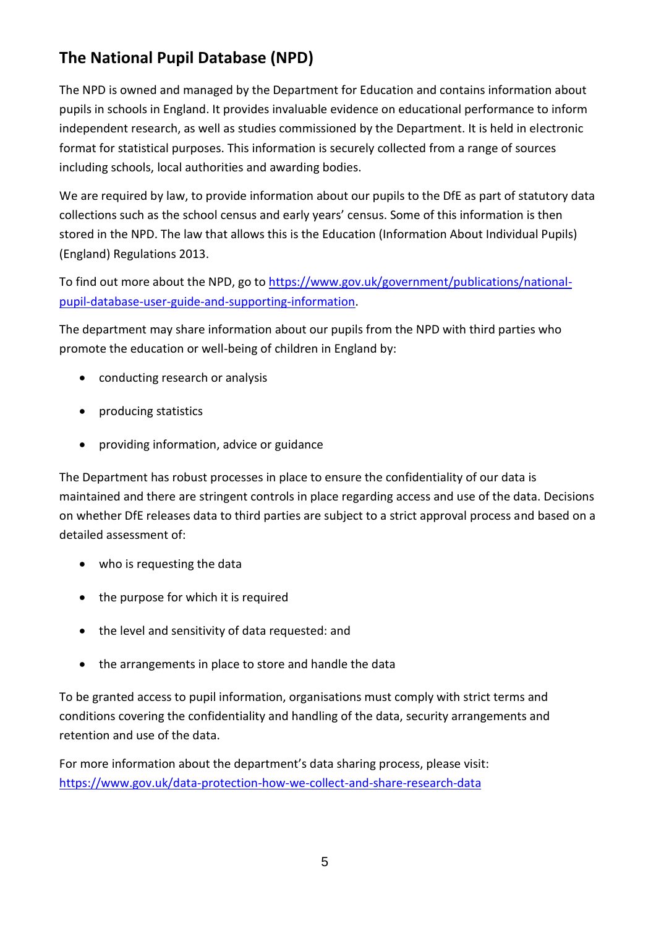# **The National Pupil Database (NPD)**

The NPD is owned and managed by the Department for Education and contains information about pupils in schools in England. It provides invaluable evidence on educational performance to inform independent research, as well as studies commissioned by the Department. It is held in electronic format for statistical purposes. This information is securely collected from a range of sources including schools, local authorities and awarding bodies.

We are required by law, to provide information about our pupils to the DfE as part of statutory data collections such as the school census and early years' census. Some of this information is then stored in the NPD. The law that allows this is the Education (Information About Individual Pupils) (England) Regulations 2013.

To find out more about the NPD, go to [https://www.gov.uk/government/publications/national](https://www.gov.uk/government/publications/national-pupil-database-user-guide-and-supporting-information)[pupil-database-user-guide-and-supporting-information.](https://www.gov.uk/government/publications/national-pupil-database-user-guide-and-supporting-information)

The department may share information about our pupils from the NPD with third parties who promote the education or well-being of children in England by:

- conducting research or analysis
- producing statistics
- providing information, advice or guidance

The Department has robust processes in place to ensure the confidentiality of our data is maintained and there are stringent controls in place regarding access and use of the data. Decisions on whether DfE releases data to third parties are subject to a strict approval process and based on a detailed assessment of:

- who is requesting the data
- the purpose for which it is required
- the level and sensitivity of data requested: and
- the arrangements in place to store and handle the data

To be granted access to pupil information, organisations must comply with strict terms and conditions covering the confidentiality and handling of the data, security arrangements and retention and use of the data.

For more information about the department's data sharing process, please visit: <https://www.gov.uk/data-protection-how-we-collect-and-share-research-data>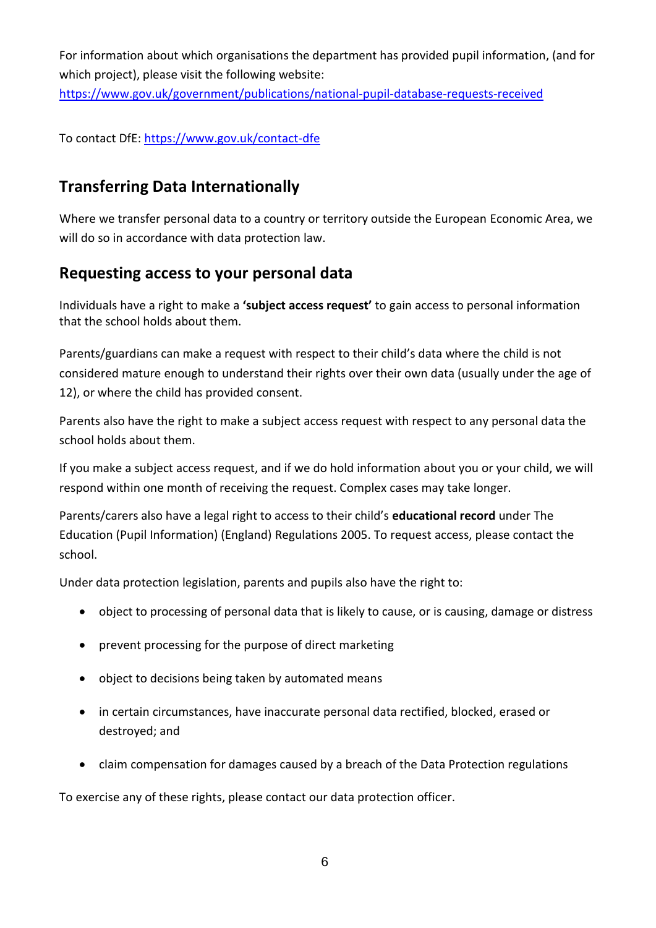For information about which organisations the department has provided pupil information, (and for which project), please visit the following website:

<https://www.gov.uk/government/publications/national-pupil-database-requests-received>

To contact DfE:<https://www.gov.uk/contact-dfe>

#### **Transferring Data Internationally**

Where we transfer personal data to a country or territory outside the European Economic Area, we will do so in accordance with data protection law.

#### **Requesting access to your personal data**

Individuals have a right to make a **'subject access request'** to gain access to personal information that the school holds about them.

Parents/guardians can make a request with respect to their child's data where the child is not considered mature enough to understand their rights over their own data (usually under the age of 12), or where the child has provided consent.

Parents also have the right to make a subject access request with respect to any personal data the school holds about them.

If you make a subject access request, and if we do hold information about you or your child, we will respond within one month of receiving the request. Complex cases may take longer.

Parents/carers also have a legal right to access to their child's **educational record** under [The](http://www.legislation.gov.uk/uksi/2005/1437/contents/made)  [Education \(Pupil Information\) \(England\) Regulations 2005.](http://www.legislation.gov.uk/uksi/2005/1437/contents/made) To request access, please contact the school.

Under data protection legislation, parents and pupils also have the right to:

- object to processing of personal data that is likely to cause, or is causing, damage or distress
- prevent processing for the purpose of direct marketing
- object to decisions being taken by automated means
- in certain circumstances, have inaccurate personal data rectified, blocked, erased or destroyed; and
- claim compensation for damages caused by a breach of the Data Protection regulations

To exercise any of these rights, please contact our data protection officer.